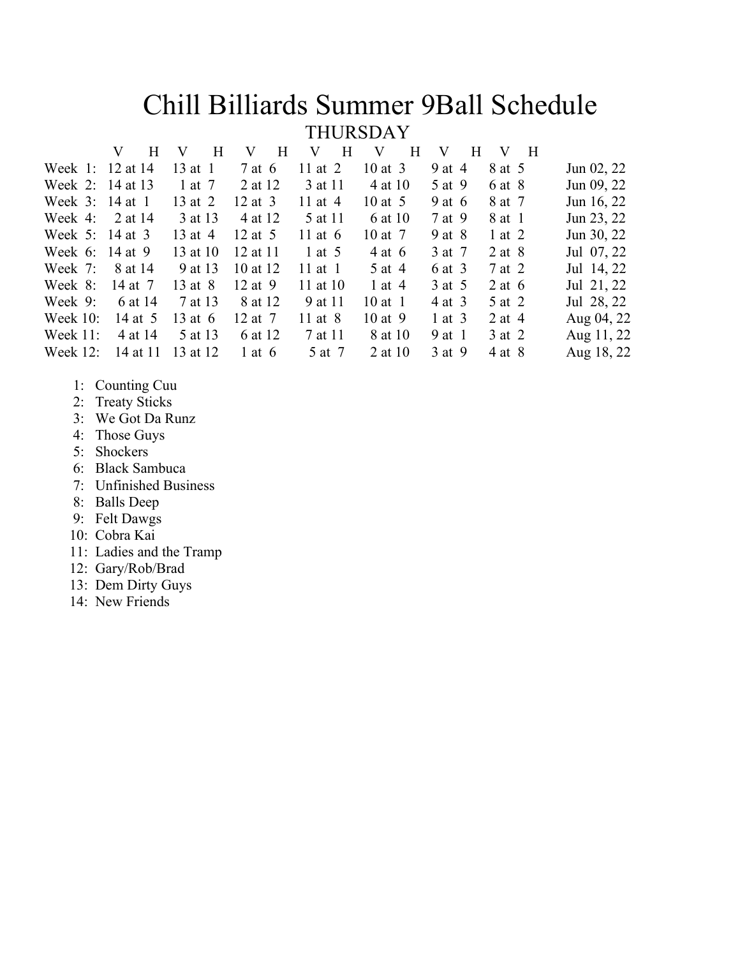# Chill Billiards Summer 9Ball Schedule<br>THURSDAY

| H                | V<br>– Н  | $\overline{\mathbf{H}}$<br>V | H<br>V    | $\mathbf V$<br>H | V<br>H   | V H        |            |
|------------------|-----------|------------------------------|-----------|------------------|----------|------------|------------|
| Week 1: 12 at 14 | $13$ at 1 | 7 at 6                       | 11 at $2$ | $10$ at $3$      | 9 at 4   | 8 at 5     | Jun 02, 22 |
| Week 2: 14 at 13 | 1 at 7    | 2 at 12                      | 3 at 11   | 4 at 10          | 5 at 9   | 6 at 8     | Jun 09, 22 |
| Week 3: 14 at 1  | 13 at 2   | $12$ at 3                    | 11 at $4$ | 10 at $5$        | 9 at $6$ | 8 at 7     | Jun 16, 22 |
| 2 at 14          | 3 at 13   | 4 at 12                      | 5 at 11   | 6 at 10          | 7 at 9   | 8 at 1     | Jun 23, 22 |
| Week 5: 14 at 3  | 13 at 4   | 12 at $5$                    | 11 at $6$ | $10$ at 7        | 9 at 8   | $1$ at $2$ | Jun 30, 22 |
| 14 at 9          | 13 at 10  | 12 at 11                     | 1 at $5$  | 4 at 6           | 3 at 7   | $2$ at $8$ | Jul 07, 22 |
| 8 at 14          | 9 at 13   | 10 at 12                     | 11 at $1$ | 5 at 4           | 6 at 3   | 7 at 2     | Jul 14, 22 |
| 14 at 7          | 13 at 8   | 12 at 9                      | 11 at 10  | 1 at 4           | 3 at 5   | 2 at $6$   | Jul 21, 22 |
| 6 at 14          | 7 at 13   | 8 at 12                      | 9 at 11   | $10$ at 1        | 4 at 3   | 5 at 2     | Jul 28, 22 |
| 14 at 5          | 13 at 6   | 12 at 7                      | 11 at 8   | $10$ at 9        | 1 at $3$ | 2 at 4     | Aug 04, 22 |
| 4 at 14          | 5 at 13   | 6 at 12                      | 7 at 11   | 8 at 10          | 9 at 1   | 3 at 2     | Aug 11, 22 |
| 14 at 11         | 13 at 12  | 1 at 6                       | 5 at 7    | 2 at 10          | 3 at 9   | 4 at 8     | Aug 18, 22 |
|                  |           |                              |           |                  |          |            |            |

- 1: Counting Cuu
- 2: Treaty Sticks
- 3: We Got Da Runz
- 4: Those Guys
- 5: Shockers
- 6: Black Sambuca
- 7: Unfinished Business
- 8: Balls Deep
- 9: Felt Dawgs
- 10: Cobra Kai
- 11: Ladies and the Tramp
- 12: Gary/Rob/Brad
- 13: Dem Dirty Guys
- 14: New Friends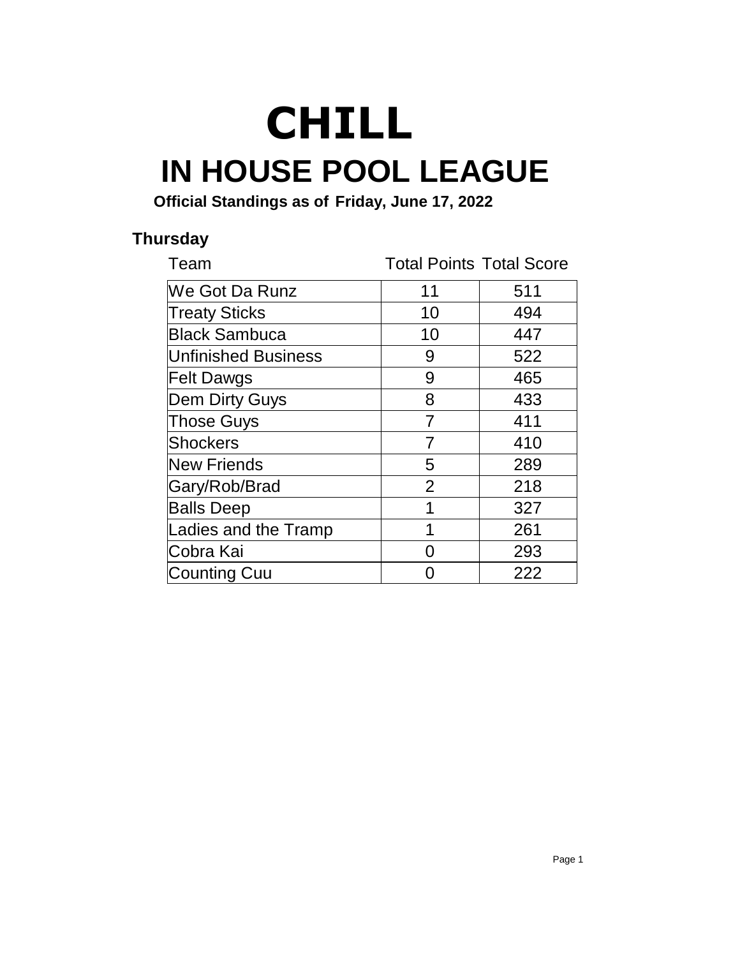## **IN HOUSE POOL LEAGUE CHILL**

**Official Standings as of Friday, June 17, 2022**

#### **Thursday**

| Team                        | <b>Total Points Total Score</b> |     |
|-----------------------------|---------------------------------|-----|
| <b>We Got Da Runz</b>       | 11                              | 511 |
| <b>Treaty Sticks</b>        | 10                              | 494 |
| <b>Black Sambuca</b>        | 10                              | 447 |
| <b>Unfinished Business</b>  | 9                               | 522 |
| <b>Felt Dawgs</b>           | 9                               | 465 |
| <b>Dem Dirty Guys</b>       | 8                               | 433 |
| <b>Those Guys</b>           | 7                               | 411 |
| <b>Shockers</b>             | 7                               | 410 |
| <b>New Friends</b>          | 5                               | 289 |
| Gary/Rob/Brad               | $\overline{2}$                  | 218 |
| <b>Balls Deep</b>           | 1                               | 327 |
| <b>Ladies and the Tramp</b> | 1                               | 261 |
| Cobra Kai                   | O                               | 293 |
| Counting Cuu                |                                 | 222 |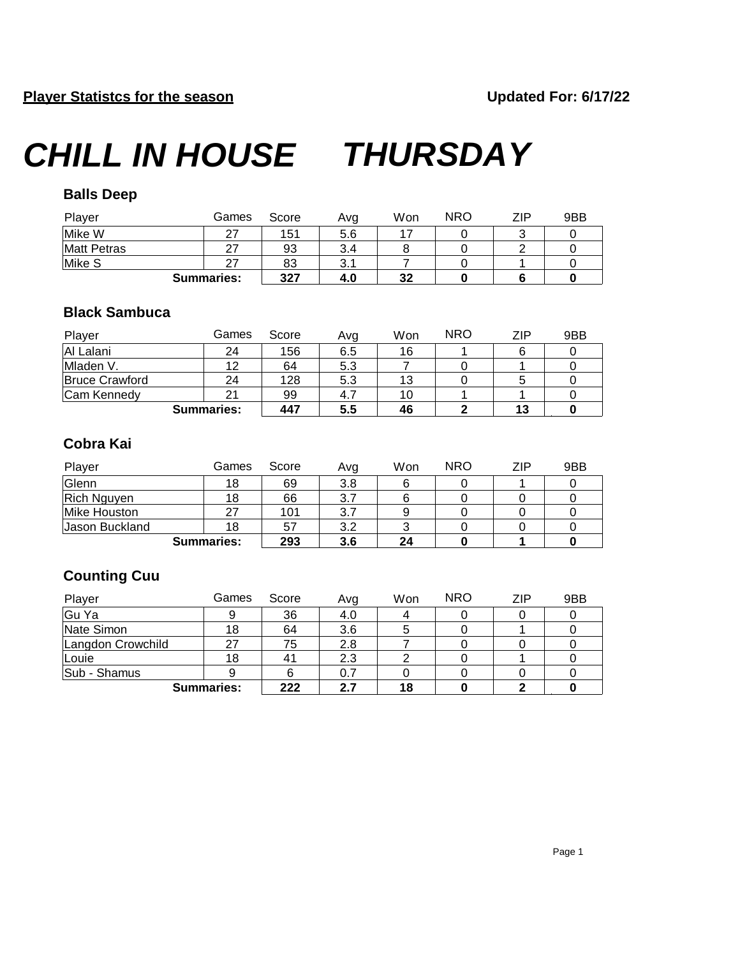#### **Balls Deep**

| Player             | Games             | Score | Ava | Won | <b>NRO</b> | ZIP | 9BB |
|--------------------|-------------------|-------|-----|-----|------------|-----|-----|
| Mike W             |                   | 151   | 5.6 |     |            |     |     |
| <b>Matt Petras</b> |                   | 93    | 3.4 |     |            |     |     |
| Mike S             |                   | 83    | 3.1 |     |            |     |     |
|                    | <b>Summaries:</b> | 327   | 4.0 | 32  |            |     |     |

#### **Black Sambuca**

| Player                | Games             | Score | Ava | Won | <b>NRO</b> | 7IP | 9BB |
|-----------------------|-------------------|-------|-----|-----|------------|-----|-----|
| Al Lalani             | 24                | 156   | 6.5 | 16  |            |     |     |
| Mladen V.             | 12                | 64    | 5.3 |     |            |     |     |
| <b>Bruce Crawford</b> | 24                | 128   | 5.3 | 13  |            |     |     |
| Cam Kennedy           | 21                | 99    | 4.7 | 10  |            |     |     |
|                       | <b>Summaries:</b> | 447   | 5.5 | 46  |            | 13  |     |

#### **Cobra Kai**

| Player             | Games             | Score | Avg | Won | <b>NRO</b> | ZIP | 9BB |
|--------------------|-------------------|-------|-----|-----|------------|-----|-----|
| Glenn              | 18                | 69    | 3.8 |     |            |     |     |
| <b>Rich Nguyen</b> | 18                | 66    |     |     |            |     |     |
| Mike Houston       | 27                | 101   |     |     |            |     |     |
| Jason Buckland     | 18                | 57    | 3.2 |     |            |     |     |
|                    | <b>Summaries:</b> | 293   | 3.6 | 24  |            |     |     |

#### **Counting Cuu**

| Player            | Games | Score | Avg | Won | <b>NRO</b> | ZIP | 9BB |
|-------------------|-------|-------|-----|-----|------------|-----|-----|
| Gu Ya             |       | 36    | 4.0 |     |            |     |     |
| Nate Simon        | 18    | 64    | 3.6 |     |            |     |     |
| Langdon Crowchild | 27    | 75    | 2.8 |     |            |     |     |
| Louie             | 18    | 41    | 2.3 |     |            |     |     |
| Sub - Shamus      |       | 6     | 0.7 |     |            |     |     |
| <b>Summaries:</b> |       | 222   | 2.7 | 18  |            |     |     |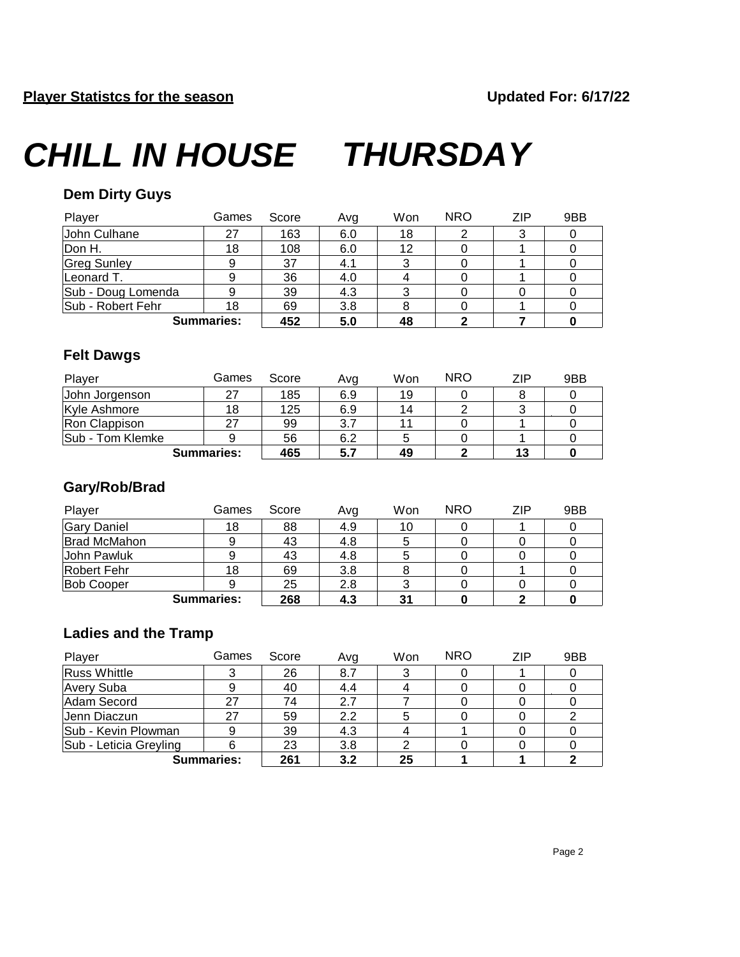#### **Dem Dirty Guys**

| Player             | Games | Score | Avg | Won | <b>NRO</b> | ZIP | 9BB |
|--------------------|-------|-------|-----|-----|------------|-----|-----|
| John Culhane       | 27    | 163   | 6.0 | 18  |            | 3   |     |
| Don H.             | 18    | 108   | 6.0 | 12  |            |     |     |
| <b>Greg Sunley</b> | 9     | 37    | 4.1 | 3   |            |     |     |
| Leonard T.         |       | 36    | 4.0 |     |            |     |     |
| Sub - Doug Lomenda |       | 39    | 4.3 |     |            |     |     |
| Sub - Robert Fehr  | 18    | 69    | 3.8 |     |            |     |     |
| <b>Summaries:</b>  |       | 452   | 5.0 | 48  |            |     |     |

#### **Felt Dawgs**

| Player            | Games | Score | Avg | Won | <b>NRO</b> | ZIP | 9BB |
|-------------------|-------|-------|-----|-----|------------|-----|-----|
| John Jorgenson    | 27    | 185   | 6.9 | 19  |            |     |     |
| Kyle Ashmore      | 18    | 125   | 6.9 | 14  |            | J   |     |
| Ron Clappison     |       | 99    | 3.7 | 11  |            |     |     |
| Sub - Tom Klemke  |       | 56    | 6.2 |     |            |     |     |
| <b>Summaries:</b> |       | 465   | 5.7 | 49  |            | 13  |     |

#### **Gary/Rob/Brad**

| Player              | Games | Score | Ava | Won | <b>NRO</b> | ZIP | 9BB |
|---------------------|-------|-------|-----|-----|------------|-----|-----|
| <b>Gary Daniel</b>  | 18    | 88    | 4.9 | 10  |            |     |     |
| <b>Brad McMahon</b> |       | 43    | 4.8 |     |            |     |     |
| John Pawluk         |       | 43    | 4.8 |     |            |     |     |
| Robert Fehr         | 18    | 69    | 3.8 |     |            |     |     |
| <b>Bob Cooper</b>   |       | 25    | 2.8 |     |            |     |     |
| <b>Summaries:</b>   |       | 268   | 4.3 | 31  |            |     |     |

#### **Ladies and the Tramp**

| Player                 | Games | Score | Avg | Won | <b>NRO</b> | ZIP | 9BB |
|------------------------|-------|-------|-----|-----|------------|-----|-----|
| <b>Russ Whittle</b>    |       | 26    | 8.7 | 3   |            |     |     |
| Avery Suba             |       | 40    | 4.4 |     |            |     |     |
| Adam Secord            | 27    | 74    | 2.7 |     |            |     |     |
| Jenn Diaczun           | 27    | 59    | 2.2 | 5   |            |     |     |
| Sub - Kevin Plowman    | 9     | 39    | 4.3 |     |            |     |     |
| Sub - Leticia Greyling | 6     | 23    | 3.8 |     |            |     |     |
| <b>Summaries:</b>      |       | 261   | 3.2 | 25  |            |     |     |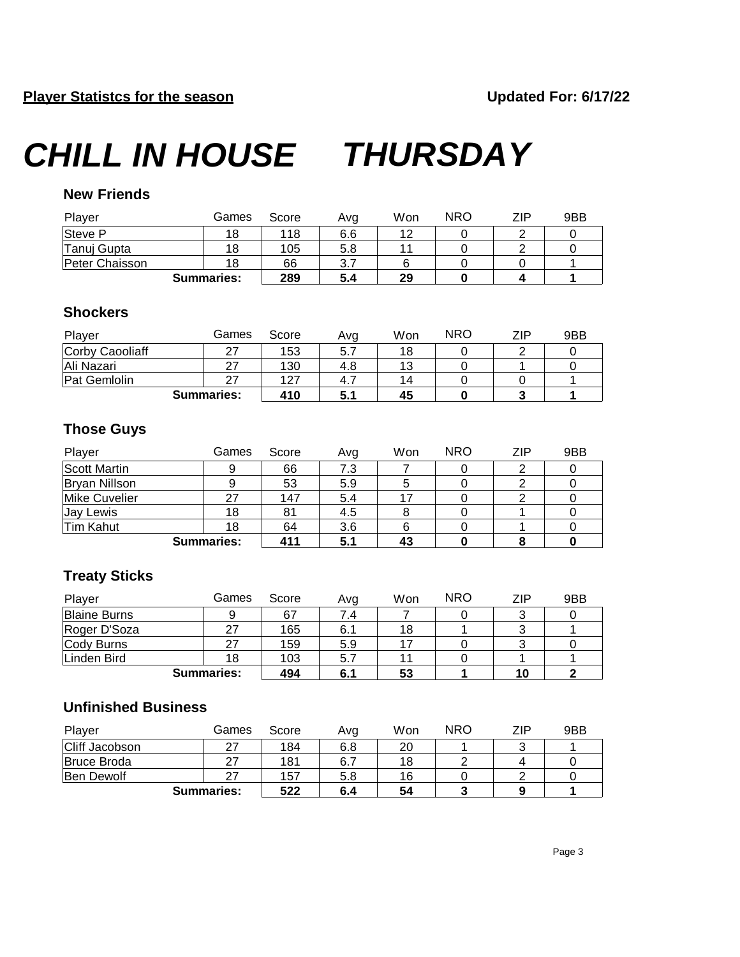#### **New Friends**

| Player         | Games             | Score | Ava | Won | <b>NRO</b> | ZIP. | 9BB |
|----------------|-------------------|-------|-----|-----|------------|------|-----|
| Steve P        | 18                | 118   | 6.6 | 12  |            |      |     |
| Tanuj Gupta    | 18                | 105   | 5.8 |     |            |      |     |
| Peter Chaisson | 18                | 66    |     |     |            |      |     |
|                | <b>Summaries:</b> | 289   | 5.4 | 29  |            |      |     |

#### **Shockers**

| Player          | Games             | Score | Ava | Won | <b>NRO</b> | ZIP | 9BB |
|-----------------|-------------------|-------|-----|-----|------------|-----|-----|
| Corby Caooliaff |                   | 153   | 5.7 | 18  |            |     |     |
| Ali Nazari      |                   | 130   | 4.8 | 13  |            |     |     |
| Pat Gemlolin    |                   | 127   | 4.  | 14  |            |     |     |
|                 | <b>Summaries:</b> | 410   | 5.1 | 45  |            |     |     |

#### **Those Guys**

| Player        | Games             | Score | Ava | Won | <b>NRO</b> | ZIP | 9BB |
|---------------|-------------------|-------|-----|-----|------------|-----|-----|
| Scott Martin  |                   | 66    | 7.3 |     |            |     |     |
| Bryan Nillson |                   | 53    | 5.9 |     |            |     |     |
| Mike Cuvelier |                   | 147   | 5.4 |     |            |     |     |
| Jay Lewis     | 18                | 81    | 4.5 |     |            |     |     |
| Tim Kahut     | 18                | 64    | 3.6 |     |            |     |     |
|               | <b>Summaries:</b> | 411   | 5.1 | 43  |            |     |     |

#### **Treaty Sticks**

| Player              | Games | Score | Avg | Won | <b>NRO</b> | ZIP | 9BB |
|---------------------|-------|-------|-----|-----|------------|-----|-----|
| <b>Blaine Burns</b> |       | 67    | 7.4 |     |            | J   |     |
| Roger D'Soza        | 27    | 165   | 6.1 | 18  |            | J   |     |
| Cody Burns          | 27    | 159   | 5.9 | 47  |            | ت   |     |
| Linden Bird         | 18    | 103   | 5.7 |     |            |     |     |
| <b>Summaries:</b>   |       | 494   | 6.1 | 53  |            | 10  |     |

#### **Unfinished Business**

| Player                | Games             | Score | Avg | Won | <b>NRO</b> | ZIP | 9BB |
|-----------------------|-------------------|-------|-----|-----|------------|-----|-----|
| <b>Cliff Jacobson</b> |                   | 184   | 6.8 | 20  |            | ັ   |     |
| <b>Bruce Broda</b>    | 27                | 181   | 6.7 | 18  |            |     |     |
| <b>Ben Dewolf</b>     |                   | 157   | 5.8 | 16  |            |     |     |
|                       | <b>Summaries:</b> |       | 6.4 | 54  |            |     |     |